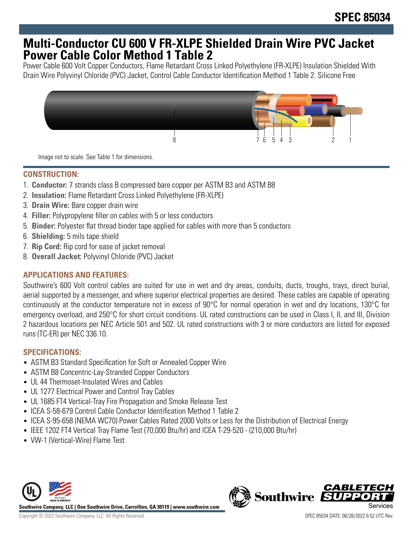# **Multi-Conductor CU 600 V FR-XLPE Shielded Drain Wire PVC Jacket Power Cable Color Method 1 Table 2**

Power Cable 600 Volt Copper Conductors, Flame Retardant Cross Linked Polyethylene (FR-XLPE) Insulation Shielded With Drain Wire Polyvinyl Chloride (PVC) Jacket, Control Cable Conductor Identification Method 1 Table 2. Silicone Free



Image not to scale. See Table 1 for dimensions.

## **CONSTRUCTION:**

- 1. **Conductor:** 7 strands class B compressed bare copper per ASTM B3 and ASTM B8
- 2. **Insulation:** Flame Retardant Cross Linked Polyethylene (FR-XLPE)
- 3. **Drain Wire:** Bare copper drain wire
- 4. **Filler:** Polypropylene filler on cables with 5 or less conductors
- 5. **Binder:** Polyester flat thread binder tape applied for cables with more than 5 conductors
- 6. **Shielding:** 5 mils tape shield
- 7. **Rip Cord:** Rip cord for ease of jacket removal
- 8. **Overall Jacket:** Polyvinyl Chloride (PVC) Jacket

# **APPLICATIONS AND FEATURES:**

Southwire's 600 Volt control cables are suited for use in wet and dry areas, conduits, ducts, troughs, trays, direct burial, aerial supported by a messenger, and where superior electrical properties are desired. These cables are capable of operating continuously at the conductor temperature not in excess of 90°C for normal operation in wet and dry locations, 130°C for emergency overload, and 250°C for short circuit conditions. UL rated constructions can be used in Class I, II, and III, Division 2 hazardous locations per NEC Article 501 and 502. UL rated constructions with 3 or more conductors are listed for exposed runs (TC-ER) per NEC 336.10.

# **SPECIFICATIONS:**

- ASTM B3 Standard Specification for Soft or Annealed Copper Wire
- ASTM B8 Concentric-Lay-Stranded Copper Conductors
- UL 44 Thermoset-Insulated Wires and Cables
- UL 1277 Electrical Power and Control Tray Cables
- UL 1685 FT4 Vertical-Tray Fire Propagation and Smoke Release Test
- ICEA S-58-679 Control Cable Conductor Identification Method 1 Table 2
- ICEA S-95-658 (NEMA WC70) Power Cables Rated 2000 Volts or Less for the Distribution of Electrical Energy
- IEEE 1202 FT4 Vertical Tray Flame Test (70,000 Btu/hr) and ICEA T-29-520 (210,000 Btu/hr)
- VW-1 (Vertical-Wire) Flame Test



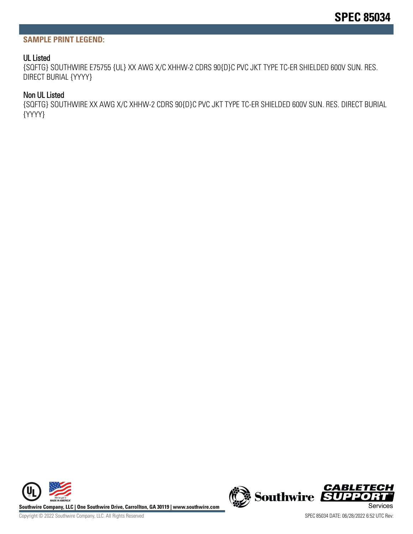#### **SAMPLE PRINT LEGEND:**

#### UL Listed

{SQFTG} SOUTHWIRE E75755 {UL} XX AWG X/C XHHW-2 CDRS 90{D}C PVC JKT TYPE TC-ER SHIELDED 600V SUN. RES. DIRECT BURIAL {YYYY}

#### Non UL Listed

{SQFTG} SOUTHWIRE XX AWG X/C XHHW-2 CDRS 90{D}C PVC JKT TYPE TC-ER SHIELDED 600V SUN. RES. DIRECT BURIAL {YYYY}